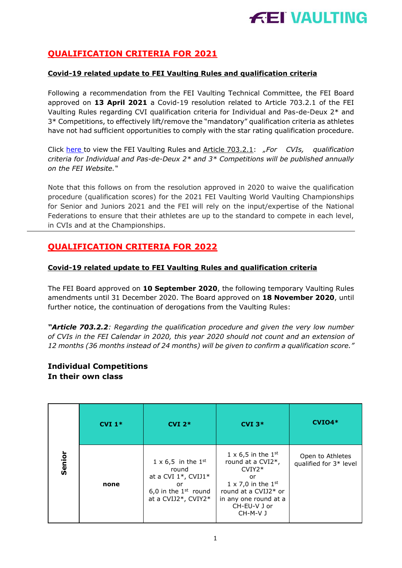

## **QUALIFICATION CRITERIA FOR 2021**

#### **Covid-19 related update to FEI Vaulting Rules and qualification criteria**

Following a recommendation from the FEI Vaulting Technical Committee, the FEI Board approved on **13 April 2021** a Covid-19 resolution related to Article 703.2.1 of the FEI Vaulting Rules regarding CVI qualification criteria for Individual and Pas-de-Deux 2\* and 3\* Competitions, to effectively lift/remove the "mandatory" qualification criteria as athletes have not had sufficient opportunities to comply with the star rating qualification procedure.

Click [here t](https://inside.fei.org/sites/default/files/FEI_Vaulting_Rules%202021_rules_clean-version.pdf)o view the FEI Vaulting Rules and Article 703.2.1: *"For CVIs, qualification criteria for Individual and Pas-de-Deux 2\* and 3\* Competitions will be published annually on the FEI Website."*

Note that this follows on from the resolution approved in 2020 to waive the qualification procedure (qualification scores) for the 2021 FEI Vaulting World Vaulting Championships for Senior and Juniors 2021 and the FEI will rely on the input/expertise of the National Federations to ensure that their athletes are up to the standard to compete in each level, in CVIs and at the Championships.

## **QUALIFICATION CRITERIA FOR 2022**

#### **Covid-19 related update to FEI Vaulting Rules and qualification criteria**

The FEI Board approved on **10 September 2020**, the following temporary Vaulting Rules amendments until 31 December 2020. The Board approved on **18 November 2020**, until further notice, the continuation of derogations from the Vaulting Rules:

*"Article 703.2.2: Regarding the qualification procedure and given the very low number of CVIs in the FEI Calendar in 2020, this year 2020 should not count and an extension of 12 months (36 months instead of 24 months) will be given to confirm a qualification score."*

### **Individual Competitions In their own class**

|        | $CVI1*$ | $CVI$ 2 <sup>*</sup>                                                                                                          | $CVI$ 3*                                                                                                                                                                         | $CVIO4*$                                   |
|--------|---------|-------------------------------------------------------------------------------------------------------------------------------|----------------------------------------------------------------------------------------------------------------------------------------------------------------------------------|--------------------------------------------|
| Senior | none    | $1 \times 6,5$ in the $1^{st}$<br>round<br>at a CVI $1^*$ , CVIJ $1^*$<br>or<br>6,0 in the $1st$ round<br>at a CVIJ2*, CVIY2* | $1 \times 6,5$ in the $1st$<br>round at a CVI2*,<br>$CVIY2*$<br>or<br>$1 \times 7,0$ in the $1st$<br>round at a CVIJ2* or<br>in any one round at a<br>CH-EU-V J or<br>$CH-M-V$ J | Open to Athletes<br>qualified for 3* level |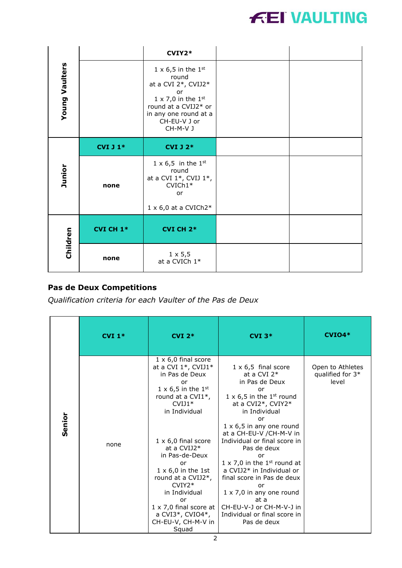

|                       |                  | $CVIY2*$                                                                                                                                                                                     |  |
|-----------------------|------------------|----------------------------------------------------------------------------------------------------------------------------------------------------------------------------------------------|--|
| <b>Young Vaulters</b> |                  | $1 \times 6, 5$ in the $1st$<br>round<br>at a CVI $2^*$ , CVIJ2*<br>or<br>$1 \times 7,0$ in the $1^{\text{st}}$<br>round at a CVIJ2* or<br>in any one round at a<br>CH-EU-V J or<br>CH-M-V J |  |
|                       | <b>CVI J 1*</b>  | <b>CVI J 2*</b>                                                                                                                                                                              |  |
| Junior                | none             | $1 \times 6,5$ in the $1^{st}$<br>round<br>at a CVI $1^*$ , CVIJ $1^*$ ,<br>$CVICh1*$<br>or<br>$1 \times 6,0$ at a CVICh2*                                                                   |  |
|                       | <b>CVI CH 1*</b> | <b>CVI CH 2*</b>                                                                                                                                                                             |  |
| Children              | none             | $1 \times 5,5$<br>at a CVICh 1*                                                                                                                                                              |  |

# **Pas de Deux Competitions**

*Qualification criteria for each Vaulter of the Pas de Deux*

|        | $CVI$ 1* | $CVI$ 2*                                                                                                                                                                                                                                                                                                                                                                                                                        | $CVI$ $3*$                                                                                                                                                                                                                                                                                                                                                                                                                                                                                                                   | $CVIO4*$                                      |
|--------|----------|---------------------------------------------------------------------------------------------------------------------------------------------------------------------------------------------------------------------------------------------------------------------------------------------------------------------------------------------------------------------------------------------------------------------------------|------------------------------------------------------------------------------------------------------------------------------------------------------------------------------------------------------------------------------------------------------------------------------------------------------------------------------------------------------------------------------------------------------------------------------------------------------------------------------------------------------------------------------|-----------------------------------------------|
| Senior | none     | $1 \times 6,0$ final score<br>at a CVI $1^*$ , CVIJ1 $^*$<br>in Pas de Deux<br>or<br>$1 \times 6, 5$ in the $1st$<br>round at a CVI1 <sup>*</sup> ,<br>$CVIJ1*$<br>in Individual<br>$1 \times 6,0$ final score<br>at a CVIJ2*<br>in Pas-de-Deux<br>or<br>$1 \times 6,0$ in the 1st<br>round at a CVIJ2*,<br>$CVIY2*$<br>in Individual<br>or<br>$1 \times 7,0$ final score at<br>a CVI3*, CVIO4*,<br>CH-EU-V, CH-M-V in<br>Squad | $1 \times 6,5$ final score<br>at a CVI $2*$<br>in Pas de Deux<br>or<br>$1 \times 6,5$ in the 1 <sup>st</sup> round<br>at a CVI2*, CVIY2*<br>in Individual<br>or<br>$1 \times 6, 5$ in any one round<br>at a CH-EU-V /CH-M-V in<br>Individual or final score in<br>Pas de deux<br>or<br>$1 \times 7,0$ in the 1 <sup>st</sup> round at<br>a CVIJ2* in Individual or<br>final score in Pas de deux<br>or<br>$1 \times 7,0$ in any one round<br>at a<br>CH-EU-V-J or CH-M-V-J in<br>Individual or final score in<br>Pas de deux | Open to Athletes<br>qualified for 3*<br>level |